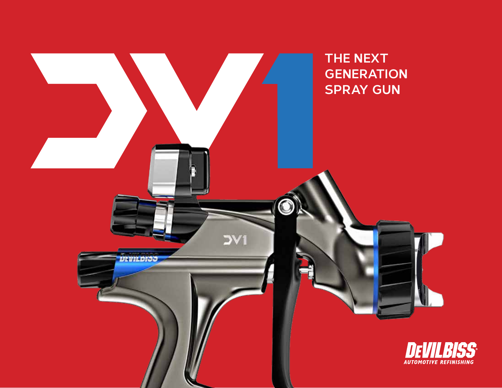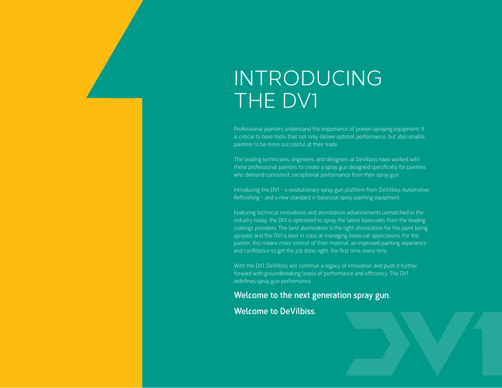# INTRODUCING THE DV1

Professional painters understand the importance of proven spraying equipment. It is critical to have tools that not only deliver optimal performance, but also enable painters to be more successful at their trade.

The leading technicians, engineers, and designers at DeVilbiss have worked with these professional painters to create a spray gun designed specifically for painters who demand consistent, exceptional performance from their spray gun.

Introducing the DV1 – a revolutionary spray gun platform from DeVilbiss Automotive Refinishing – and a new standard in basecoat spray painting equipment.

Featuring technical innovations and atomization advancements unmatched in the industry today, the DV1 is optimized to spray the latest basecoats from the leading coatings providers. The best atomization is the right atomization for the paint being sprayed, and the DV1 is best in class at managing basecoat applications. For the painter, this means more control of their material, an improved painting experience and confidence to get the job done right, the first time, every time.

With the DV1, DeVilbiss will continue a legacy of innovation and push it further forward with groundbreaking levels of performance and efficiency. The DV1 redefines spray gun performance.

# **Welcome to the next generation spray gun.**

# **Welcome to DeVilbiss.**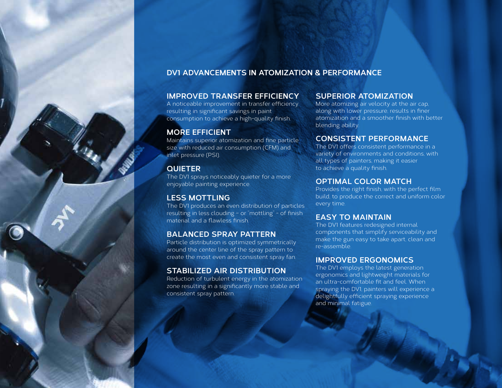# **DV1 ADVANCEMENTS IN ATOMIZATION & PERFORMANCE**

# **IMPROVED TRANSFER EFFICIENCY**

A noticeable improvement in transfer efficiency resulting in significant savings in paint consumption to achieve a high-quality finish.

# **MORE EFFICIENT**

Maintains superior atomization and fine particle size with reduced air consumption (CFM) and inlet pressure (PSI).

# **QUIETER**

The DV1 sprays noticeably quieter for a more enjoyable painting experience.

# **LESS MOTTLING**

The DV1 produces an even distribution of particles resulting in less clouding – or "mottling" - of finish material and a flawless finish.

# **BALANCED SPRAY PATTERN**

Particle distribution is optimized symmetrically around the center line of the spray pattern to create the most even and consistent spray fan.

# **STABILIZED AIR DISTRIBUTION**

Reduction of turbulent energy in the atomization zone resulting in a significantly more stable and consistent spray pattern.

# **SUPERIOR ATOMIZATION**

More atomizing air velocity at the air cap, along with lower pressure, results in finer atomization and a smoother finish with better blending ability.

# **CONSISTENT PERFORMANCE**

The DV1 offers consistent performance in a variety of environments and conditions, with all types of painters, making it easier to achieve a quality finish.

### **OPTIMAL COLOR MATCH**

Provides the right finish, with the perfect film build, to produce the correct and uniform color every time.

# **EASY TO MAINTAIN**

The DV1 features redesigned internal components that simplify serviceability and make the gun easy to take apart, clean and re-assemble.

## **IMPROVED ERGONOMICS**

The DV1 employs the latest generation ergonomics and lightweight materials for an ultra-comfortable fit and feel. When spraying the DV1, painters will experience a delightfully efficient spraying experience and minimal fatigue.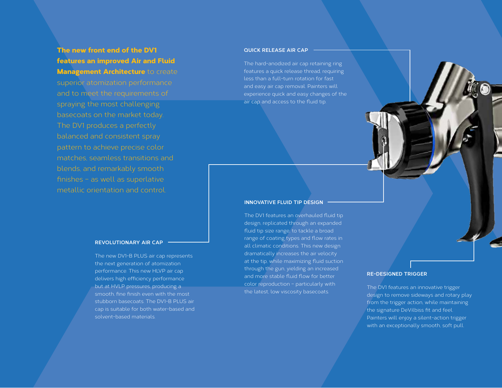# The new front end of the DV1 features an improved Air and Fluid **Management Architecture to create**

superior atomization performance and to meet the requirements of spraying the most challenging basecoats on the market today. balanced and consistent spray pattern to achieve precise color matches, seamless transitions and blends, and remarkably smooth finishes – as well as superlative metallic orientation and control.

#### **REVOLUTIONARY AIR CAP**

The new DV1-B PLUS air cap represents the next generation of atomization performance. This new HLVP air cap delivers high efficiency performance but at HVLP pressures, producing a smooth, fine finish even with the most stubborn basecoats. The DV1-B PLUS air cap is suitable for both water-based and solvent-based materials.

#### **QUICK RELEASE AIR CAP**

The hard-anodized air cap retaining ring features a quick release thread, requiring less than a full-turn rotation for fast and easy air cap removal. Painters will experience quick and easy changes of the air cap and access to the fluid tip.

#### **INNOVATIVE FLUID TIP DESIGN**

The DV1 features an overhauled fluid tip design, replicated through an expanded fluid tip size range, to tackle a broad range of coating types and flow rates in all climatic conditions. This new design dramatically increases the air velocity at the tip, while maximizing fluid suction through the gun, yielding an increased and more stable fluid flow for better color reproduction – particularly with the latest, low viscosity basecoats.

#### **RE-DESIGNED TRIGGER**

The DV1 features an innovative trigger design to remove sideways and rotary play from the trigger action, while maintaining the signature DeVilbiss fit and feel. Painters will enjoy a silent-action trigger with an exceptionally smooth, soft pull.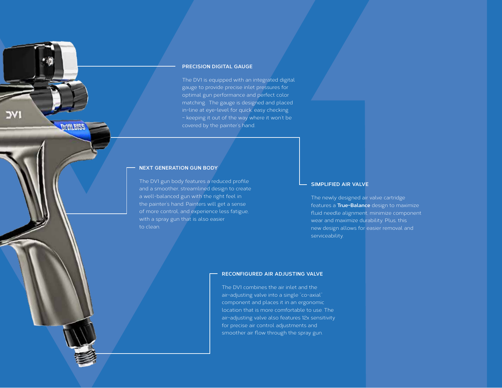#### **PRECISION DIGITAL GAUGE**

The DV1 is equipped with an integrated digital gauge to provide precise inlet pressures for optimal gun performance and perfect color matching. The gauge is designed and placed in-line at eye-level for quick, easy checking – keeping it out of the way where it won't be covered by the painter's hand.

#### **NEXT GENERATION GUN BODY**

**DEVILEISS** 

The DV1 gun body features a reduced profile and a smoother, streamlined design to create a well-balanced gun with the right feel in the painter's hand. Painters will get a sense of more control, and experience less fatigue, with a spray gun that is also easier to clean.

#### **SIMPLIFIED AIR VALVE**

The newly designed air valve cartridge features a **True-Balance** design to maximize fluid needle alignment, minimize component wear and maximize durability. Plus, this new design allows for easier removal and serviceability.

#### **RECONFIGURED AIR ADJUSTING VALVE**

The DV1 combines the air inlet and the air-adjusting valve into a single "co-axial" component and places it in an ergonomic location that is more comfortable to use. The air-adjusting valve also features 12x sensitivity for precise air control adjustments and smoother air flow through the spray gun.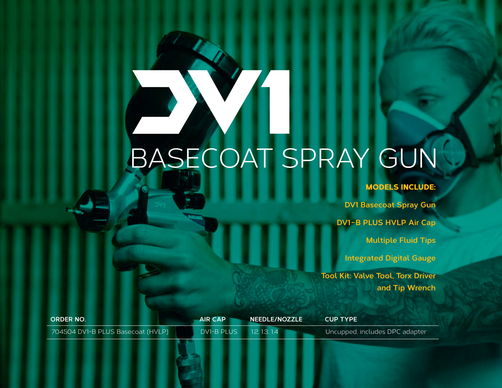# BASECOAT SPRAY GUN

# MODELS INCLUDE:

**DV1 Basecoat Spray Gun DV1-B PLUS HVLP Air Cap Multiple Fluid Tips Integrated Digital Gauge**

**Tool Kit: Valve Tool, Torx Driver and Tip Wrench**

| <b>ORDER NO.</b>                  | <b>AIR CAP</b>    | <b>NEEDLE/NOZZLE</b> | <b>CUP TYPE</b>                |
|-----------------------------------|-------------------|----------------------|--------------------------------|
| 704504 DV1-B PLUS Basecoat (HVLP) | <b>DV1-B PLUS</b> | 1.2, 1.3, 1.4        | Uncupped, includes DPC adapter |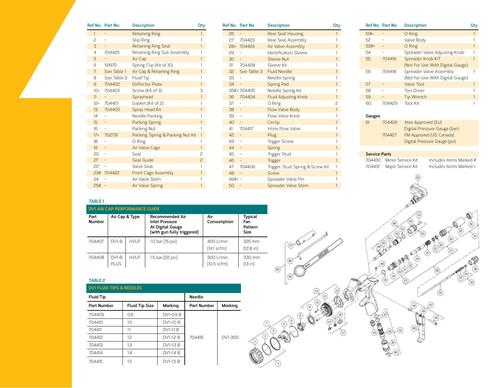|                 | Ref No. Part No. | <b>Description</b>                | Qty            |
|-----------------|------------------|-----------------------------------|----------------|
| $\mathbf{1}$    |                  | <b>Retaining Ring</b>             | 1              |
| P               |                  | Slip Ring                         | 1              |
| 3               |                  | <b>Retaining Ring Seal</b>        | 1              |
| $\overline{4}$  | 704425           | Retaining Ring Sub Assembly       | 1              |
| 5               |                  | Air Cap                           | 1              |
| 6               | 191972           | Spring Clip (Kit of 10)           | 1              |
| 7               | See Table 1      | Air Cap & Retaining Ring          | 1              |
| 8               | See Table 2      | Fluid Tip                         | 1              |
| 9               | 704402           | Deflector Plate                   | 1              |
| $10+$           | 704403           | Screw (Kit of 3)                  | 3              |
| 11              |                  | Sprayhead                         | $\overline{1}$ |
| $12+$           | 704401           | Gasket (Kit of 2)                 | 1              |
| 13 <sup>°</sup> | 704400           | Spray Head Kit                    | 1              |
| 14              | $\overline{a}$   | Needle Packing                    | 1              |
| $15-15$         | Ξ                | <b>Packing Spring</b>             | 1              |
| 16              |                  | Packing Nut                       | 1              |
| $17+$           | 702731           | Packing, Spring & Packing Nut Kit | $\mathbf{1}$   |
| 18              | -                | O Ring                            | 1              |
| 19              | -                | Air Valve Cage                    | $\mathbf{1}$   |
| 20              | -                | Seal                              | 2              |
| $21*$           | -                | Seal Guide                        | 5              |
| 22*             | $\overline{a}$   | Valve Seat                        | 1              |
| 23#             | 704422           | Front Cage Assembly               | $\mathbf{1}$   |
| 24              |                  | Air Valve Stem                    | 1              |
| 25#             | L,               | Air Valve Spring                  | 1              |

|          | Ref No. Part No.  | <b>Description</b>                | Qty            |
|----------|-------------------|-----------------------------------|----------------|
| 26       |                   | <b>Rear Seal Housing</b>          | 1              |
| 27       | 704423            | Rear Seal Assembly                |                |
| $78+$    | 704424            | Air Valve Assembly                | $\overline{1}$ |
| 29       |                   | <b>Identification Sleeve</b>      | 1              |
| 30       | $\qquad \qquad -$ | Sleeve Nut                        | $\overline{1}$ |
| 31       | 704428            | Sleeve Kit                        | 1              |
|          | 32 See Table 3    | <b>Fluid Needle</b>               | $\overline{1}$ |
| 33       |                   | Needle Spring                     | 1              |
| 34       |                   | <b>Spring Pad</b>                 | $\overline{1}$ |
|          | 35#+704405        | Needle Spring Kit                 | 1              |
| 36       | 704404            | <b>Fluid Adjusting Knob</b>       | 1              |
| 37       | $\overline{a}$    | O Ring                            | 2              |
| 38       | $\overline{a}$    | Flow Valve Body                   | 1              |
| 39       | $\frac{1}{2}$     | Flow Valve Knob                   | 1              |
| 40       | -                 | Circlip                           | 1              |
| 41       | 704417            | Inline Flow Valve                 | 1              |
| 42       |                   | Plug                              | 1              |
| 43       | $\overline{a}$    | <b>Trigger Screw</b>              | 1              |
| 44       | -                 | Spring                            | 1              |
| 45       | $\qquad \qquad -$ | <b>Trigger Stud</b>               | 1              |
| 46       | $\overline{a}$    | <b>Trigger</b>                    | $\mathbf{1}$   |
| 47       | 704406            | Trigger, Stud, Spring & Screw Kit | 1              |
| 48       |                   | Screw                             | $\mathbf{1}$   |
| $49#+ -$ |                   | Spreader Valve Pin                | 1              |
| 50       |                   | Spreader Valve Stem               | 1              |

|        | Ref No. Part No. | <b>Description</b>               | utv |
|--------|------------------|----------------------------------|-----|
| $51#+$ |                  | O Ring                           |     |
| 52     |                  | Valve Body                       |     |
| $53#+$ |                  | O Ring                           |     |
| 54     |                  | Spreader Valve Adjusting Knob    |     |
| 55     | 704419           | Spreader Knob KIT                |     |
|        |                  | (Not For Use With Digital Gauge) |     |
| 56     | 704418           | Spreader Valve Assembly          |     |
|        |                  | (Not For Use With Digital Gauge) |     |
| 57     |                  | Valve Tool                       |     |
| 58     |                  | <b>Torx Driver</b>               |     |
| 59     |                  | Tip Wrench                       |     |
| 60     | 704429           | <b>Tool Kit</b>                  |     |

#### **Gauges**

| 61 | 704426 | Atex Approved (EU)           |
|----|--------|------------------------------|
|    |        | Digital Pressure Gauge (bar) |
|    | 704427 | FM Approved (US, Canada)     |
|    |        | Digital Pressure Gauge (psi) |

#### **Service Parts**

#### 704430 Minor Service Kit Includes Items Marked # 704431 Major Service Kit Includes Items Marked +

#### **TABLE 1**

| <b>DV1 AIR CAP PERFORMANCE GUIDE</b> |                          |       |                                                                                                   |                                    |                                                 |  |
|--------------------------------------|--------------------------|-------|---------------------------------------------------------------------------------------------------|------------------------------------|-------------------------------------------------|--|
| Part<br>Number                       | Air Cap & Type           |       | <b>Recommended Air</b><br><b>Inlet Pressure</b><br>At Digital Gauge<br>(with gun fully triggered) | Air<br>Consumption                 | <b>Typical</b><br>Fan<br>Pattern<br><b>Size</b> |  |
| 704407                               | $DY1-B$                  | HVI P | 1.0 bar [15 psi]                                                                                  | 400 L/min<br>[14.1 scfm]           | 325 mm<br>[12.8 in]                             |  |
| 704408                               | $DY1 - B$<br><b>PLUS</b> | HVI P | 1.5 bar [22 psi]                                                                                  | 300 L/min<br>$[10.5 \text{ scfm}]$ | 330 mm<br>[13 in]                               |  |

#### **TABLE 2**

**DV1 FLUID TIPS & NEEDLES** 

| <b>Fluid Tip</b>   |                       |           | <b>Needle</b>      |         |
|--------------------|-----------------------|-----------|--------------------|---------|
| <b>Part Number</b> | <b>Fluid Tip Size</b> | Marking   | <b>Part Number</b> | Marking |
| 704409             | 09                    | DV1-0.9 B |                    |         |
| 704410             | 10                    | DV1-1.0 B |                    |         |
| 704411             | 11                    | DV1-11 B  |                    |         |
| 704412             | $12^{12}$             | DV1-12 B  | 704416             | DV1-300 |
| 704413             | 13                    | DV1-1.3 B |                    |         |
| 704414             | 14                    | DV1-1.4 B |                    |         |
| 704415             | 1.5                   | DV1-1.5 B |                    |         |